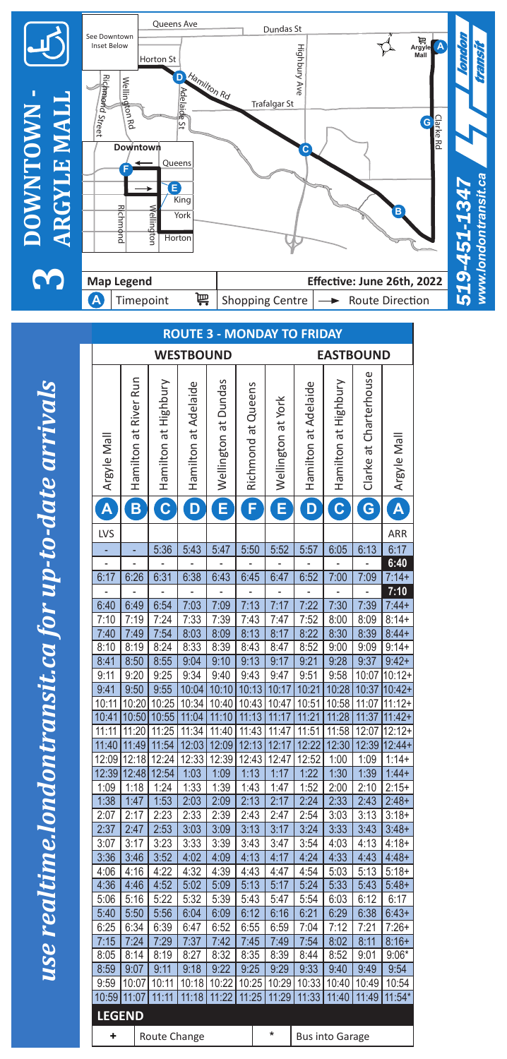

|                                      |                       |                         |                      |                      |                    |                    | ישווי שו             |                         |                           |                         |
|--------------------------------------|-----------------------|-------------------------|----------------------|----------------------|--------------------|--------------------|----------------------|-------------------------|---------------------------|-------------------------|
| <b>WESTBOUND</b><br><b>EASTBOUND</b> |                       |                         |                      |                      |                    |                    |                      |                         |                           |                         |
| Argyle Mal                           | Hamilton at River Run | Hamilton at Highbury    | Hamilton at Adelaide | Wellington at Dundas | Richmond at Queens | Wellington at York | Hamilton at Adelaide | Hamilton at Highbury    | Charterhouse<br>Clarke at | Argyle Mal              |
| Ä                                    | B                     | $\overline{\mathbf{c}}$ | D                    | Ė                    | F                  | Ē                  | D                    | $\overline{\mathbf{c}}$ | G                         | $\overline{\mathsf{A}}$ |
| LVS                                  |                       |                         |                      |                      |                    |                    |                      |                         |                           | ARR                     |
|                                      |                       | 5:36                    | 5:43                 | 5:47                 | 5:50               | 5:52               | 5:57                 | 6:05                    | 6:13                      | 6:17                    |
|                                      |                       |                         |                      |                      |                    |                    |                      |                         |                           | 6:40                    |
| 6:17                                 | 6:26                  | 6:31                    | 6:38                 | 6:43                 | 6:45               | 6:47               | 6:52                 | 7:00                    | 7:09                      | $7:14+$                 |
|                                      |                       |                         |                      |                      |                    |                    |                      |                         |                           | 7:10                    |
| 6:40                                 | 6:49                  | 6:54                    | 7:03                 | 7:09                 | 7:13               | 7:17               | 7:22                 | 7:30                    | 7:39                      | $7:44+$                 |
| 7:10                                 | 7:19                  | 7:24                    | 7:33                 | 7:39                 | 7:43               | 7:47               | 7:52                 | 8:00                    | 8:09                      | $8:14+$                 |
| 7:40                                 | 7:49                  | 7:54                    | 8:03                 | 8:09                 | 8:13               | 8:17               | 8:22                 | 8:30                    | 8:39                      | $8:44+$                 |
| 8:10                                 | 8:19                  | 8:24                    | 8:33                 | 8:39                 | 8:43               | 8:47               | 8:52                 | 9:00                    | 9:09                      | $9:14+$                 |
| 8:41                                 | 8:50                  | 8:55                    | 9:04                 | 9:10                 | 9:13               | 9:17               | 9:21                 | 9:28                    | 9:37                      | $9:42+$                 |
| 9:11                                 | 9:20                  | 9:25                    | 9:34                 | 9:40                 | 9:43               | 9:47               | 9:51                 | 9:58                    | 10:07                     | $10:12+$                |
| 9:41                                 | 9:50                  | 9:55                    | 10:04                | 10:10                | 10:13              | 10:17              | 10:21                | 10:28                   | 10:37                     | $10:42+$                |
| 10:11                                | 10:20                 | 10:25                   | 10:34                | 10:40                | 10:43              | 10:47              | 10:51                | 10:58                   | 11:07                     | $11:12+$                |
| 10:41                                | 10:50                 | 10:55                   | 11:04                | 11:10                | 11:13              | 11:17              | 11:21                | 11:28                   | 11:37                     | $11:42+$                |
| 11:11                                | 11:20                 | 11:25                   | 11:34                | 11:40                | 11:43              | 11:47              | 11:51                | 11:58                   | 12:07                     | $12:12+$                |
| 11:40                                | 11:49                 | 11:54                   | 12:03                | 12:09                | 12:13              | 12:17              | 12:22                | 12:30                   | 12:39                     | $12:44+$                |
| 12:09                                | 12:18                 | 12:24                   | 12:33                | 12:39                | 12:43              | 12:47              | 12:52                | 1:00                    | 1:09                      | $1:14+$                 |
| 12:39                                | 12:48                 | 12:54                   | 1:03                 | 1:09                 | 1:13               | 1:17               | 1:22                 | 1:30                    | 1:39                      | $1:44+$                 |
| 1:09                                 | 1:18                  | 1:24                    | 1:33                 | 1:39                 | 1:43               | 1:47               | 1:52                 | 2:00                    | 2:10                      | $2:15+$                 |
| 1:38                                 | 1:47                  | 1:53                    | 2:03                 | 2:09                 | 2:13               | 2:17               | 2:24                 | 2:33                    | 2:43                      | $2:48+$                 |
| 2:07                                 | 2:17                  | 2:23                    | 2:33                 | 2:39                 | 2:43               | 2:47               | 2:54                 | 3:03                    | 3:13                      | $3:18+$                 |
| 2:37                                 | 2:47                  | 2:53                    | 3:03                 | 3:09                 | 3:13               | 3:17               | 3:24                 | 3:33                    | 3:43                      | $3:48+$                 |
| 3:07                                 | 3:17                  | 3:23                    | 3:33                 | 3:39                 | 3:43               | 3:47               | 3:54                 | 4:03                    | 4:13                      | $4:18+$                 |
| 3:36                                 | 3:46                  | 3:52<br>4:22            | 4:02                 | 4:09<br>4:39         | 4:13               | 4:17               | 4:24                 | 4:33                    | 4:43                      | $4:48+$                 |
| 4:06<br>4:36                         | 4:16<br>4:46          | 4:52                    | 4:32<br>5:02         | 5:09                 | 4:43<br>5:13       | 4:47<br>5:17       | 4:54<br>5:24         | 5:03<br>5:33            | 5:13<br>5:43              | $5:18+$<br>$5:48+$      |
| 5:06                                 | 5:16                  | 5:22                    | 5:32                 |                      |                    | 5:47               | 5:54                 |                         | 6:12                      | 6:17                    |
|                                      |                       |                         |                      | 5:39                 | 5:43               |                    |                      | 6:03                    |                           |                         |
| 5:40<br>6:25                         | 5:50<br>6:34          | 5:56<br>6:39            | 6:04<br>6:47         | 6:09<br>6:52         | 6:12<br>6:55       | 6:16<br>6:59       | 6:21<br>7:04         | 6:29<br>7:12            | 6:38<br>7:21              | $6:43+$<br>$7:26+$      |
| 7:15                                 | 7:24                  | 7:29                    | 7:37                 | 7:42                 | 7:45               | 7:49               | 7:54                 | 8:02                    | 8:11                      | $8:16+$                 |
| 8:05                                 | 8:14                  | 8:19                    | 8:27                 | 8:32                 | 8:35               | 8:39               | 8:44                 | 8:52                    | 9:01                      | $9:06*$                 |
| 8:59                                 | 9:07                  | 9:11                    | 9:18                 | 9:22                 | 9:25               | 9:29               | 9:33                 | 9:40                    | 9:49                      | 9:54                    |
| 9:59                                 | 10:07                 | 10:11                   | 10:18                | 10:22                | 10:25              | 10:29              | 10:33                | 10:40                   | 10:49                     | 10:54                   |
| 10:59                                | 11:07                 | 11:11                   | 11:18                | 11:22                | 11:25              | 11:29              | 11:33                | 11:40                   | 11:49                     | $11:54*$                |
| <b>LEGEND</b>                        |                       |                         |                      |                      |                    |                    |                      |                         |                           |                         |
|                                      |                       |                         |                      |                      |                    |                    |                      |                         |                           |                         |
| ÷                                    |                       | Route Change            |                      |                      |                    | *                  |                      | <b>Bus into Garage</b>  |                           |                         |

## **ROUTE 3 - MONDAY TO FRIDAY**

use realtime.londontransit.ca for up-to-date arrivals *use realtime.londontransit.ca for up-to-date arrivals*